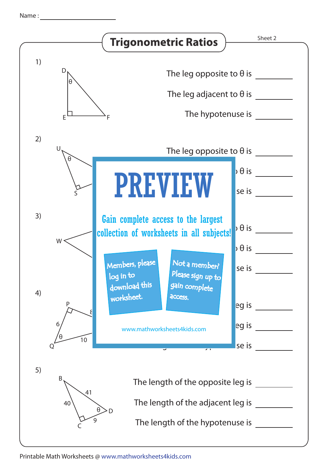|               | <b>Trigonometric Ratios</b>                                                                                                                     | Sheet 2 |
|---------------|-------------------------------------------------------------------------------------------------------------------------------------------------|---------|
| 1)<br>D<br>θ  | The leg opposite to $\theta$ is<br>The leg adjacent to $\theta$ is<br>The hypotenuse is                                                         |         |
| 2)<br>U       | The leg opposite to $\theta$ is                                                                                                                 |         |
| θ             | $\overline{\partial}$ $\theta$ is<br><b>PREVIEW</b><br>se is                                                                                    |         |
| 3)<br>$W$ .   | Gain complete access to the largest<br>$\overline{\partial}$ $\theta$ is<br>collection of worksheets in all subjects!<br>$\flat$ $\theta$ is    |         |
| 4)<br>P       | Members, please<br>Not a member?<br>se is<br>Please sign up to<br>log in to<br>download this<br>gain complete<br>worksheet.<br>access.<br>eg is |         |
| 6<br>10       | eg is<br>www.mathworksheets4kids.com<br>se is                                                                                                   |         |
| 5)<br>B<br>40 | The length of the opposite leg is<br>41<br>The length of the adjacent leg is<br>9<br>The length of the hypotenuse is                            |         |